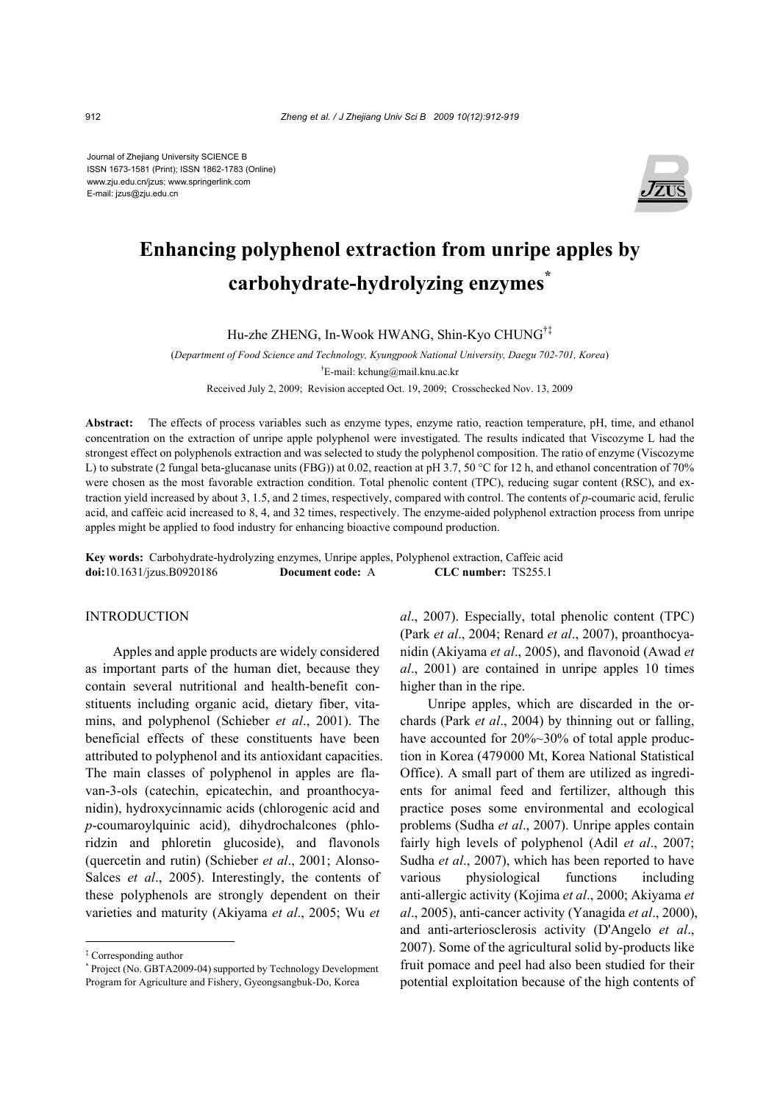Journal of Zhejiang University SCIENCE B ISSN 1673-1581 (Print); ISSN 1862-1783 (Online) www.zju.edu.cn/jzus; www.springerlink.com E-mail: jzus@zju.edu.cn



# **Enhancing polyphenol extraction from unripe apples by carbohydrate-hydrolyzing enzymes\***

Hu-zhe ZHENG, In-Wook HWANG, Shin-Kyo CHUNG†‡

(*Department of Food Science and Technology, Kyungpook National University, Daegu 702-701, Korea*) † E-mail: kchung@mail.knu.ac.kr

Received July 2, 2009; Revision accepted Oct. 19, 2009; Crosschecked Nov. 13, 2009

**Abstract:** The effects of process variables such as enzyme types, enzyme ratio, reaction temperature, pH, time, and ethanol concentration on the extraction of unripe apple polyphenol were investigated. The results indicated that Viscozyme L had the strongest effect on polyphenols extraction and was selected to study the polyphenol composition. The ratio of enzyme (Viscozyme L) to substrate (2 fungal beta-glucanase units (FBG)) at 0.02, reaction at pH 3.7, 50 °C for 12 h, and ethanol concentration of 70% were chosen as the most favorable extraction condition. Total phenolic content (TPC), reducing sugar content (RSC), and extraction yield increased by about 3, 1.5, and 2 times, respectively, compared with control. The contents of *p*-coumaric acid, ferulic acid, and caffeic acid increased to 8, 4, and 32 times, respectively. The enzyme-aided polyphenol extraction process from unripe apples might be applied to food industry for enhancing bioactive compound production.

**Key words:** Carbohydrate-hydrolyzing enzymes, Unripe apples, Polyphenol extraction, Caffeic acid **doi:**10.1631/jzus.B0920186 **Document code:** A **CLC number:** TS255.1

## INTRODUCTION

Apples and apple products are widely considered as important parts of the human diet, because they contain several nutritional and health-benefit constituents including organic acid, dietary fiber, vitamins, and polyphenol (Schieber *et al*., 2001). The beneficial effects of these constituents have been attributed to polyphenol and its antioxidant capacities. The main classes of polyphenol in apples are flavan-3-ols (catechin, epicatechin, and proanthocyanidin), hydroxycinnamic acids (chlorogenic acid and *p*-coumaroylquinic acid), dihydrochalcones (phloridzin and phloretin glucoside), and flavonols (quercetin and rutin) (Schieber *et al*., 2001; Alonso-Salces *et al*., 2005). Interestingly, the contents of these polyphenols are strongly dependent on their varieties and maturity (Akiyama *et al*., 2005; Wu *et* 

*al*., 2007). Especially, total phenolic content (TPC) (Park *et al*., 2004; Renard *et al*., 2007), proanthocyanidin (Akiyama *et al*., 2005), and flavonoid (Awad *et al*., 2001) are contained in unripe apples 10 times higher than in the ripe.

Unripe apples, which are discarded in the orchards (Park *et al*., 2004) by thinning out or falling, have accounted for 20%~30% of total apple production in Korea (479000 Mt, Korea National Statistical Office). A small part of them are utilized as ingredients for animal feed and fertilizer, although this practice poses some environmental and ecological problems (Sudha *et al*., 2007). Unripe apples contain fairly high levels of polyphenol (Adil *et al*., 2007; Sudha *et al*., 2007), which has been reported to have various physiological functions including anti-allergic activity (Kojima *et al*., 2000; Akiyama *et al*., 2005), anti-cancer activity (Yanagida *et al*., 2000), and anti-arteriosclerosis activity (D'Angelo *et al*., 2007). Some of the agricultural solid by-products like fruit pomace and peel had also been studied for their potential exploitation because of the high contents of

<sup>‡</sup> Corresponding author

<sup>\*</sup> Project (No. GBTA2009-04) supported by Technology Development Program for Agriculture and Fishery, Gyeongsangbuk-Do, Korea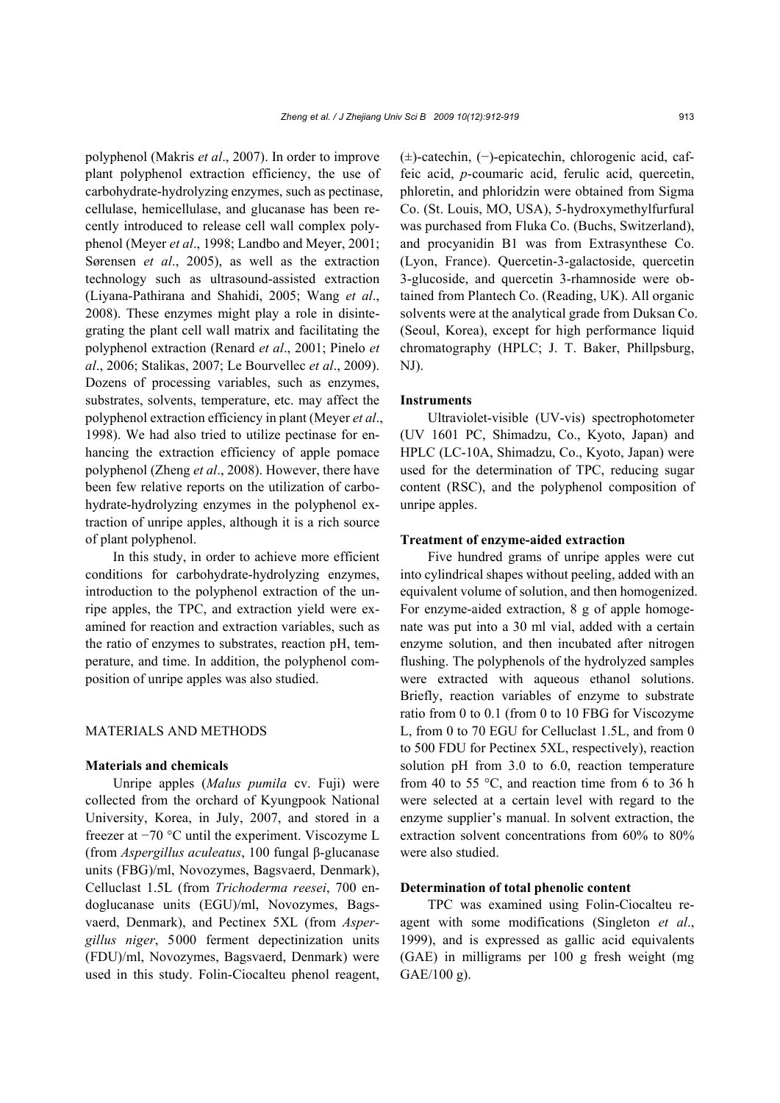polyphenol (Makris *et al*., 2007). In order to improve plant polyphenol extraction efficiency, the use of carbohydrate-hydrolyzing enzymes, such as pectinase, cellulase, hemicellulase, and glucanase has been recently introduced to release cell wall complex polyphenol (Meyer *et al*., 1998; Landbo and Meyer, 2001; Sørensen *et al*., 2005), as well as the extraction technology such as ultrasound-assisted extraction (Liyana-Pathirana and Shahidi, 2005; Wang *et al*., 2008). These enzymes might play a role in disintegrating the plant cell wall matrix and facilitating the polyphenol extraction (Renard *et al*., 2001; Pinelo *et al*., 2006; Stalikas, 2007; Le Bourvellec *et al*., 2009). Dozens of processing variables, such as enzymes, substrates, solvents, temperature, etc. may affect the polyphenol extraction efficiency in plant (Meyer *et al*., 1998). We had also tried to utilize pectinase for enhancing the extraction efficiency of apple pomace polyphenol (Zheng *et al*., 2008). However, there have been few relative reports on the utilization of carbohydrate-hydrolyzing enzymes in the polyphenol extraction of unripe apples, although it is a rich source of plant polyphenol.

In this study, in order to achieve more efficient conditions for carbohydrate-hydrolyzing enzymes, introduction to the polyphenol extraction of the unripe apples, the TPC, and extraction yield were examined for reaction and extraction variables, such as the ratio of enzymes to substrates, reaction pH, temperature, and time. In addition, the polyphenol composition of unripe apples was also studied.

#### MATERIALS AND METHODS

## **Materials and chemicals**

Unripe apples (*Malus pumila* cv. Fuji) were collected from the orchard of Kyungpook National University, Korea, in July, 2007, and stored in a freezer at −70 °C until the experiment. Viscozyme L (from *Aspergillus aculeatus*, 100 fungal β-glucanase units (FBG)/ml, Novozymes, Bagsvaerd, Denmark), Celluclast 1.5L (from *Trichoderma reesei*, 700 endoglucanase units (EGU)/ml, Novozymes, Bagsvaerd, Denmark), and Pectinex 5XL (from *Aspergillus niger*, 5000 ferment depectinization units (FDU)/ml, Novozymes, Bagsvaerd, Denmark) were used in this study. Folin-Ciocalteu phenol reagent, (±)-catechin, (−)-epicatechin, chlorogenic acid, caffeic acid, *p*-coumaric acid, ferulic acid, quercetin, phloretin, and phloridzin were obtained from Sigma Co. (St. Louis, MO, USA), 5-hydroxymethylfurfural was purchased from Fluka Co. (Buchs, Switzerland), and procyanidin B1 was from Extrasynthese Co. (Lyon, France). Quercetin-3-galactoside, quercetin 3-glucoside, and quercetin 3-rhamnoside were obtained from Plantech Co. (Reading, UK). All organic solvents were at the analytical grade from Duksan Co. (Seoul, Korea), except for high performance liquid chromatography (HPLC; J. T. Baker, Phillpsburg, NJ).

## **Instruments**

Ultraviolet-visible (UV-vis) spectrophotometer (UV 1601 PC, Shimadzu, Co., Kyoto, Japan) and HPLC (LC-10A, Shimadzu, Co., Kyoto, Japan) were used for the determination of TPC, reducing sugar content (RSC), and the polyphenol composition of unripe apples.

#### **Treatment of enzyme-aided extraction**

Five hundred grams of unripe apples were cut into cylindrical shapes without peeling, added with an equivalent volume of solution, and then homogenized. For enzyme-aided extraction, 8 g of apple homogenate was put into a 30 ml vial, added with a certain enzyme solution, and then incubated after nitrogen flushing. The polyphenols of the hydrolyzed samples were extracted with aqueous ethanol solutions. Briefly, reaction variables of enzyme to substrate ratio from 0 to 0.1 (from 0 to 10 FBG for Viscozyme L, from 0 to 70 EGU for Celluclast 1.5L, and from 0 to 500 FDU for Pectinex 5XL, respectively), reaction solution pH from 3.0 to 6.0, reaction temperature from 40 to 55  $\degree$ C, and reaction time from 6 to 36 h were selected at a certain level with regard to the enzyme supplier's manual. In solvent extraction, the extraction solvent concentrations from 60% to 80% were also studied.

## **Determination of total phenolic content**

TPC was examined using Folin-Ciocalteu reagent with some modifications (Singleton *et al*., 1999), and is expressed as gallic acid equivalents (GAE) in milligrams per 100 g fresh weight (mg GAE/100 g).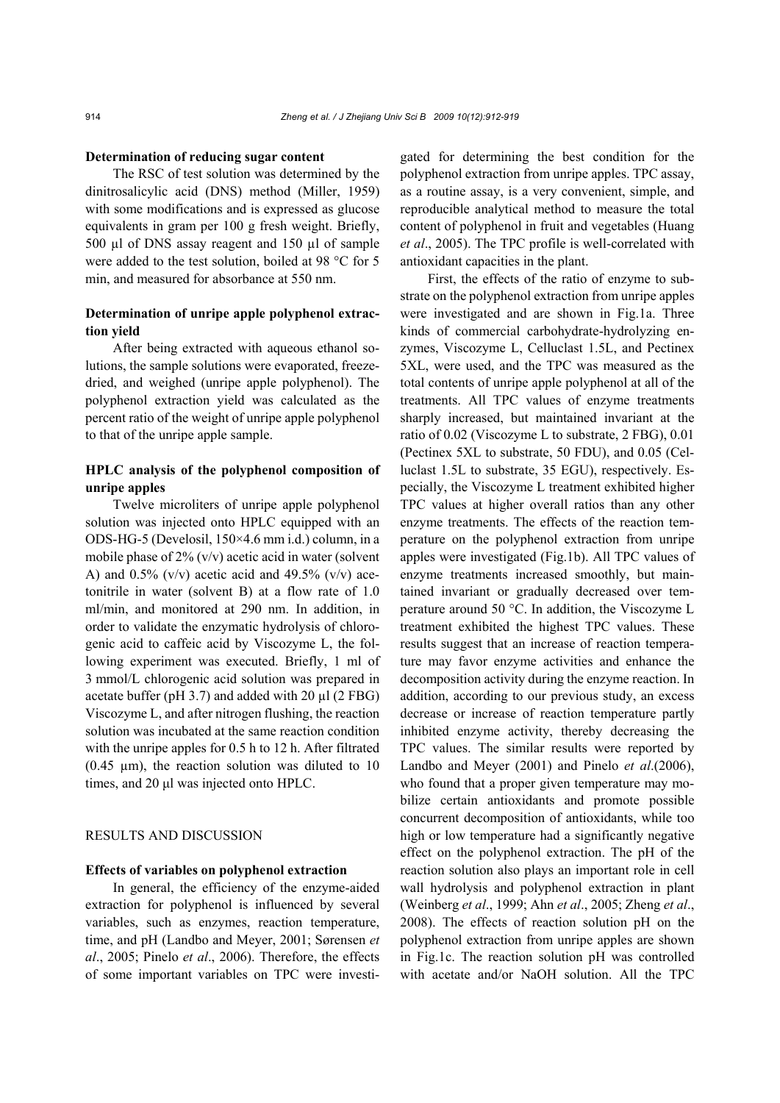#### **Determination of reducing sugar content**

The RSC of test solution was determined by the dinitrosalicylic acid (DNS) method (Miller, 1959) with some modifications and is expressed as glucose equivalents in gram per 100 g fresh weight. Briefly, 500 µl of DNS assay reagent and 150 µl of sample were added to the test solution, boiled at 98 °C for 5 min, and measured for absorbance at 550 nm.

# **Determination of unripe apple polyphenol extraction yield**

After being extracted with aqueous ethanol solutions, the sample solutions were evaporated, freezedried, and weighed (unripe apple polyphenol). The polyphenol extraction yield was calculated as the percent ratio of the weight of unripe apple polyphenol to that of the unripe apple sample.

# **HPLC analysis of the polyphenol composition of unripe apples**

Twelve microliters of unripe apple polyphenol solution was injected onto HPLC equipped with an ODS-HG-5 (Develosil, 150×4.6 mm i.d.) column, in a mobile phase of 2% (v/v) acetic acid in water (solvent A) and  $0.5\%$  (v/v) acetic acid and 49.5% (v/v) acetonitrile in water (solvent B) at a flow rate of 1.0 ml/min, and monitored at 290 nm. In addition, in order to validate the enzymatic hydrolysis of chlorogenic acid to caffeic acid by Viscozyme L, the following experiment was executed. Briefly, 1 ml of 3 mmol/L chlorogenic acid solution was prepared in acetate buffer (pH 3.7) and added with 20 µl (2 FBG) Viscozyme L, and after nitrogen flushing, the reaction solution was incubated at the same reaction condition with the unripe apples for 0.5 h to 12 h. After filtrated  $(0.45 \mu m)$ , the reaction solution was diluted to 10 times, and 20 μl was injected onto HPLC.

# RESULTS AND DISCUSSION

## **Effects of variables on polyphenol extraction**

In general, the efficiency of the enzyme-aided extraction for polyphenol is influenced by several variables, such as enzymes, reaction temperature, time, and pH (Landbo and Meyer, 2001; Sørensen *et al*., 2005; Pinelo *et al*., 2006). Therefore, the effects of some important variables on TPC were investigated for determining the best condition for the polyphenol extraction from unripe apples. TPC assay, as a routine assay, is a very convenient, simple, and reproducible analytical method to measure the total content of polyphenol in fruit and vegetables (Huang *et al*., 2005). The TPC profile is well-correlated with antioxidant capacities in the plant.

First, the effects of the ratio of enzyme to substrate on the polyphenol extraction from unripe apples were investigated and are shown in Fig.1a. Three kinds of commercial carbohydrate-hydrolyzing enzymes, Viscozyme L, Celluclast 1.5L, and Pectinex 5XL, were used, and the TPC was measured as the total contents of unripe apple polyphenol at all of the treatments. All TPC values of enzyme treatments sharply increased, but maintained invariant at the ratio of 0.02 (Viscozyme L to substrate, 2 FBG), 0.01 (Pectinex 5XL to substrate, 50 FDU), and 0.05 (Celluclast 1.5L to substrate, 35 EGU), respectively. Especially, the Viscozyme L treatment exhibited higher TPC values at higher overall ratios than any other enzyme treatments. The effects of the reaction temperature on the polyphenol extraction from unripe apples were investigated (Fig.1b). All TPC values of enzyme treatments increased smoothly, but maintained invariant or gradually decreased over temperature around 50 °C. In addition, the Viscozyme L treatment exhibited the highest TPC values. These results suggest that an increase of reaction temperature may favor enzyme activities and enhance the decomposition activity during the enzyme reaction. In addition, according to our previous study, an excess decrease or increase of reaction temperature partly inhibited enzyme activity, thereby decreasing the TPC values. The similar results were reported by Landbo and Meyer (2001) and Pinelo *et al*.(2006), who found that a proper given temperature may mobilize certain antioxidants and promote possible concurrent decomposition of antioxidants, while too high or low temperature had a significantly negative effect on the polyphenol extraction. The pH of the reaction solution also plays an important role in cell wall hydrolysis and polyphenol extraction in plant (Weinberg *et al*., 1999; Ahn *et al*., 2005; Zheng *et al*., 2008). The effects of reaction solution pH on the polyphenol extraction from unripe apples are shown in Fig.1c. The reaction solution pH was controlled with acetate and/or NaOH solution. All the TPC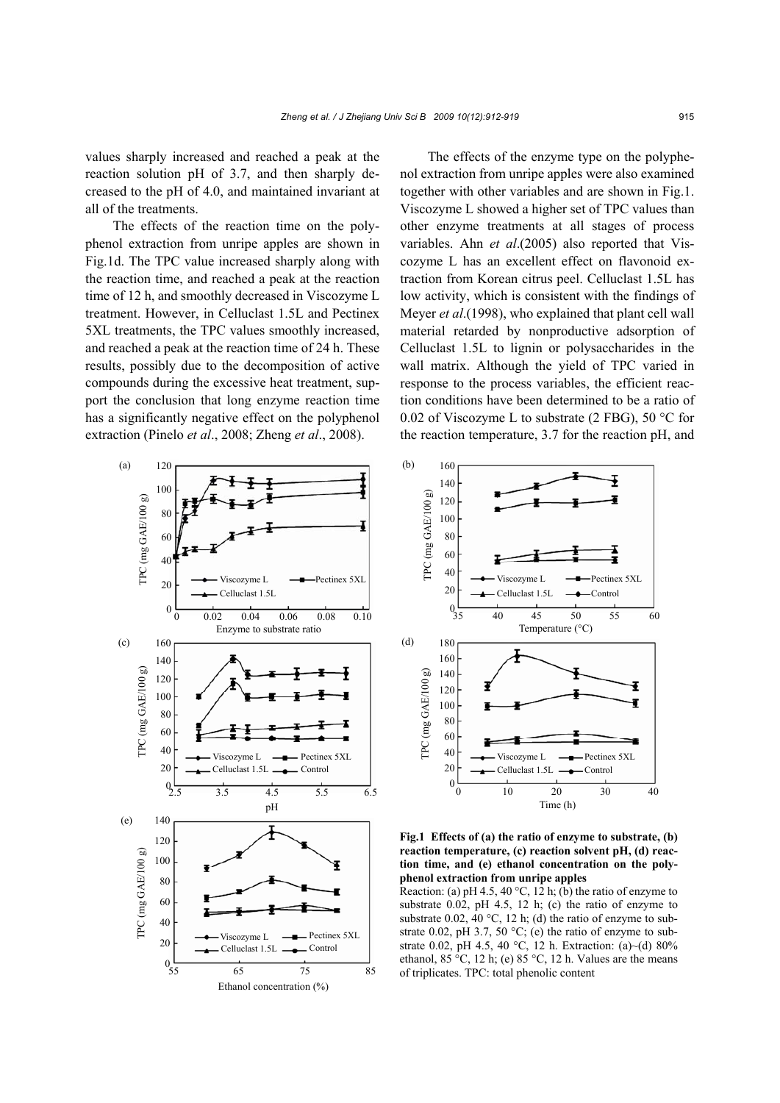values sharply increased and reached a peak at the reaction solution pH of 3.7, and then sharply decreased to the pH of 4.0, and maintained invariant at all of the treatments.

The effects of the reaction time on the polyphenol extraction from unripe apples are shown in Fig.1d. The TPC value increased sharply along with the reaction time, and reached a peak at the reaction time of 12 h, and smoothly decreased in Viscozyme L treatment. However, in Celluclast 1.5L and Pectinex 5XL treatments, the TPC values smoothly increased, and reached a peak at the reaction time of 24 h. These results, possibly due to the decomposition of active compounds during the excessive heat treatment, support the conclusion that long enzyme reaction time has a significantly negative effect on the polyphenol extraction (Pinelo *et al*., 2008; Zheng *et al*., 2008).

The effects of the enzyme type on the polyphenol extraction from unripe apples were also examined together with other variables and are shown in Fig.1. Viscozyme L showed a higher set of TPC values than other enzyme treatments at all stages of process variables. Ahn *et al*.(2005) also reported that Viscozyme L has an excellent effect on flavonoid extraction from Korean citrus peel. Celluclast 1.5L has low activity, which is consistent with the findings of Meyer *et al*.(1998), who explained that plant cell wall material retarded by nonproductive adsorption of Celluclast 1.5L to lignin or polysaccharides in the wall matrix. Although the yield of TPC varied in response to the process variables, the efficient reaction conditions have been determined to be a ratio of 0.02 of Viscozyme L to substrate (2 FBG), 50  $^{\circ}$ C for the reaction temperature, 3.7 for the reaction pH, and







Reaction: (a) pH 4.5, 40 °C, 12 h; (b) the ratio of enzyme to substrate 0.02, pH 4.5, 12 h; (c) the ratio of enzyme to substrate 0.02, 40  $^{\circ}$ C, 12 h; (d) the ratio of enzyme to substrate 0.02, pH 3.7, 50  $^{\circ}$ C; (e) the ratio of enzyme to substrate 0.02, pH 4.5, 40 °C, 12 h. Extraction: (a)~(d) 80% ethanol,  $85 \text{ °C}$ ,  $12 \text{ h}$ ; (e)  $85 \text{ °C}$ ,  $12 \text{ h}$ . Values are the means of triplicates. TPC: total phenolic content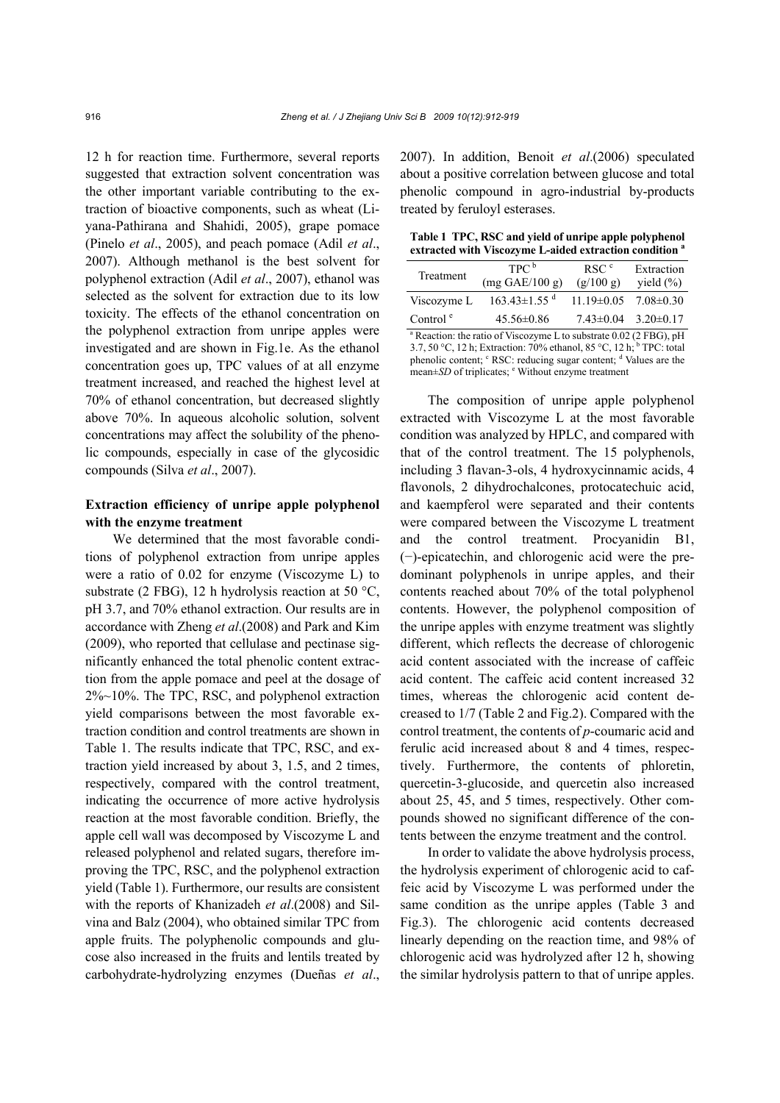12 h for reaction time. Furthermore, several reports suggested that extraction solvent concentration was the other important variable contributing to the extraction of bioactive components, such as wheat (Liyana-Pathirana and Shahidi, 2005), grape pomace (Pinelo *et al*., 2005), and peach pomace (Adil *et al*., 2007). Although methanol is the best solvent for polyphenol extraction (Adil *et al*., 2007), ethanol was selected as the solvent for extraction due to its low toxicity. The effects of the ethanol concentration on the polyphenol extraction from unripe apples were investigated and are shown in Fig.1e. As the ethanol concentration goes up, TPC values of at all enzyme treatment increased, and reached the highest level at 70% of ethanol concentration, but decreased slightly above 70%. In aqueous alcoholic solution, solvent concentrations may affect the solubility of the phenolic compounds, especially in case of the glycosidic compounds (Silva *et al*., 2007).

# **Extraction efficiency of unripe apple polyphenol with the enzyme treatment**

We determined that the most favorable conditions of polyphenol extraction from unripe apples were a ratio of 0.02 for enzyme (Viscozyme L) to substrate (2 FBG), 12 h hydrolysis reaction at 50  $\textdegree$ C, pH 3.7, and 70% ethanol extraction. Our results are in accordance with Zheng *et al*.(2008) and Park and Kim (2009), who reported that cellulase and pectinase significantly enhanced the total phenolic content extraction from the apple pomace and peel at the dosage of 2%~10%. The TPC, RSC, and polyphenol extraction yield comparisons between the most favorable extraction condition and control treatments are shown in Table 1. The results indicate that TPC, RSC, and extraction yield increased by about 3, 1.5, and 2 times, respectively, compared with the control treatment, indicating the occurrence of more active hydrolysis reaction at the most favorable condition. Briefly, the apple cell wall was decomposed by Viscozyme L and released polyphenol and related sugars, therefore improving the TPC, RSC, and the polyphenol extraction yield (Table 1). Furthermore, our results are consistent with the reports of Khanizadeh *et al*.(2008) and Silvina and Balz (2004), who obtained similar TPC from apple fruits. The polyphenolic compounds and glucose also increased in the fruits and lentils treated by carbohydrate-hydrolyzing enzymes (Dueñas *et al*., 2007). In addition, Benoit *et al*.(2006) speculated about a positive correlation between glucose and total phenolic compound in agro-industrial by-products treated by feruloyl esterases.

**Table 1 TPC, RSC and yield of unripe apple polyphenol extracted with Viscozyme L-aided extraction condition a**

| Treatment                                                                     | TPC <sup>b</sup>               | RSC <sup>c</sup> | Extraction                      |  |  |
|-------------------------------------------------------------------------------|--------------------------------|------------------|---------------------------------|--|--|
|                                                                               | $(mg \text{ GAE}/100 g)$       | (g/100 g)        | yield $(\%)$                    |  |  |
| Viscozyme L                                                                   | $163.43 \pm 1.55$ <sup>d</sup> | $11.19 \pm 0.05$ | $7.08 \pm 0.30$                 |  |  |
| Control $e$                                                                   | $45.56 \pm 0.86$               |                  | $7.43 \pm 0.04$ $3.20 \pm 0.17$ |  |  |
| <sup>a</sup> Reaction: the ratio of Viscozyme L to substrate 0.02 (2 FBG), pH |                                |                  |                                 |  |  |
| $27.5000121 E + 3.700011 10500121 h$                                          |                                |                  |                                 |  |  |

3.7, 50 °C, 12 h; Extraction: 70% ethanol, 85 °C, 12 h;  $\overline{D}$  TPC: total phenolic content; <sup>c</sup> RSC: reducing sugar content; <sup>d</sup> Values are the  $mean \pm SD$  of triplicates;  $\textdegree$  Without enzyme treatment

The composition of unripe apple polyphenol extracted with Viscozyme L at the most favorable condition was analyzed by HPLC, and compared with that of the control treatment. The 15 polyphenols, including 3 flavan-3-ols, 4 hydroxycinnamic acids, 4 flavonols, 2 dihydrochalcones, protocatechuic acid, and kaempferol were separated and their contents were compared between the Viscozyme L treatment and the control treatment. Procyanidin B1, (−)-epicatechin, and chlorogenic acid were the predominant polyphenols in unripe apples, and their contents reached about 70% of the total polyphenol contents. However, the polyphenol composition of the unripe apples with enzyme treatment was slightly different, which reflects the decrease of chlorogenic acid content associated with the increase of caffeic acid content. The caffeic acid content increased 32 times, whereas the chlorogenic acid content decreased to 1/7 (Table 2 and Fig.2). Compared with the control treatment, the contents of *p*-coumaric acid and ferulic acid increased about 8 and 4 times, respectively. Furthermore, the contents of phloretin, quercetin-3-glucoside, and quercetin also increased about 25, 45, and 5 times, respectively. Other compounds showed no significant difference of the contents between the enzyme treatment and the control.

In order to validate the above hydrolysis process, the hydrolysis experiment of chlorogenic acid to caffeic acid by Viscozyme L was performed under the same condition as the unripe apples (Table 3 and Fig.3). The chlorogenic acid contents decreased linearly depending on the reaction time, and 98% of chlorogenic acid was hydrolyzed after 12 h, showing the similar hydrolysis pattern to that of unripe apples.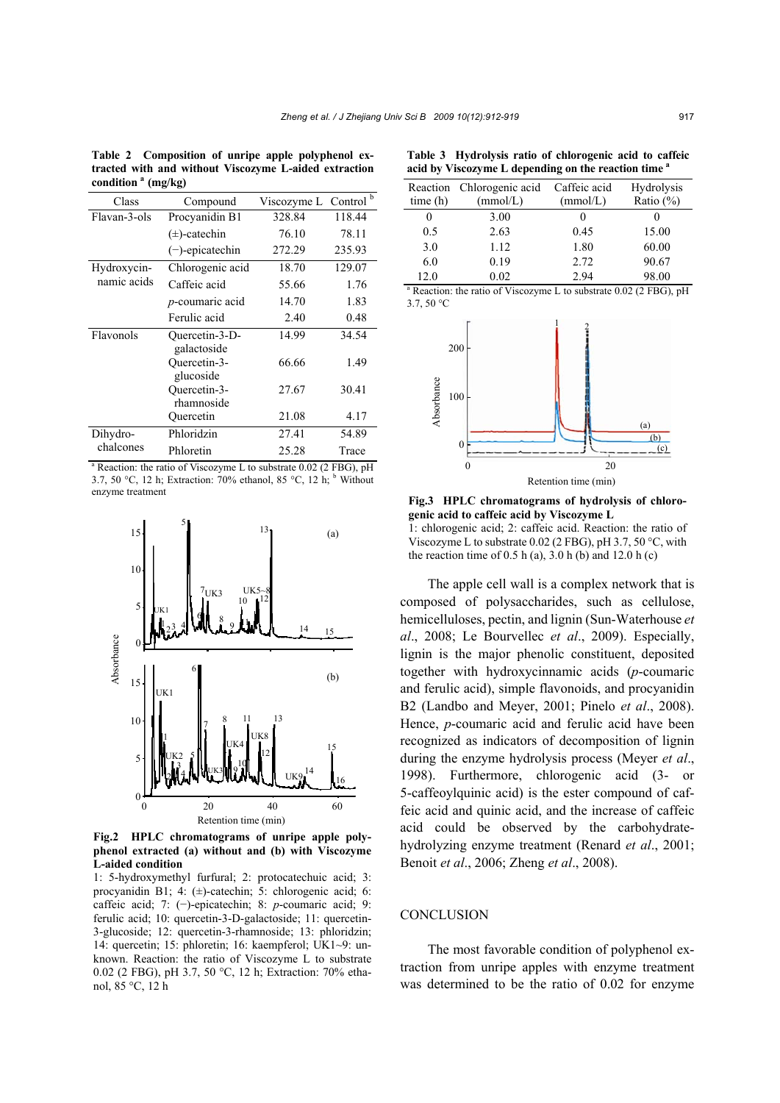**Table 2 Composition of unripe apple polyphenol extracted with and without Viscozyme L-aided extraction condition a (mg/kg)**

| Class                      | Compound                      | Viscozyme L Control <sup>b</sup> |        |
|----------------------------|-------------------------------|----------------------------------|--------|
| Flavan-3-ols               | Procyanidin B1                | 328.84                           | 118.44 |
|                            | $(\pm)$ -catechin             | 76.10                            | 78.11  |
|                            | $(-)$ -epicatechin            | 272.29                           | 235.93 |
| Hydroxycin-<br>namic acids | Chlorogenic acid              | 18.70                            | 129.07 |
|                            | Caffeic acid                  | 55.66                            | 1.76   |
|                            | <i>p</i> -coumaric acid       | 14.70                            | 1.83   |
|                            | Ferulic acid                  | 2.40                             | 0.48   |
| Flavonols                  | Ouercetin-3-D-<br>galactoside | 14.99                            | 34.54  |
|                            | Ouercetin-3-<br>glucoside     | 66.66                            | 1.49   |
|                            | Ouercetin-3-<br>rhamnoside    | 27.67                            | 30.41  |
|                            | Quercetin                     | 21.08                            | 4.17   |
| Dihydro-                   | Phloridzin                    | 27.41                            | 54.89  |
| chalcones                  | Phloretin                     | 25.28                            | Trace  |

<sup>a</sup> Reaction: the ratio of Viscozyme L to substrate 0.02 (2 FBG), pH 3.7, 50 °C, 12 h; Extraction: 70% ethanol, 85 °C, 12 h; <sup>b</sup> Without enzyme treatment



**Fig.2 HPLC chromatograms of unripe apple polyphenol extracted (a) without and (b) with Viscozyme L-aided condition** 

1: 5-hydroxymethyl furfural; 2: protocatechuic acid; 3: procyanidin B1; 4: (±)-catechin; 5: chlorogenic acid; 6: caffeic acid; 7: (−)-epicatechin; 8: *p*-coumaric acid; 9: ferulic acid; 10: quercetin-3-D-galactoside; 11: quercetin-3-glucoside; 12: quercetin-3-rhamnoside; 13: phloridzin; 14: quercetin; 15: phloretin; 16: kaempferol; UK1~9: unknown. Reaction: the ratio of Viscozyme L to substrate 0.02 (2 FBG), pH 3.7, 50 °C, 12 h; Extraction: 70% ethanol, 85 °C, 12 h

**Table 3 Hydrolysis ratio of chlorogenic acid to caffeic**  acid by Viscozyme L depending on the reaction time <sup>4</sup>

| Reaction<br>time(h)                                                           | Chlorogenic acid<br>(mmol/L) | Caffeic acid<br>(mmol/L) | Hydrolysis<br>Ratio $(\%)$ |  |  |
|-------------------------------------------------------------------------------|------------------------------|--------------------------|----------------------------|--|--|
|                                                                               | 3.00                         | 0                        |                            |  |  |
| 0.5                                                                           | 2.63                         | 0.45                     | 15.00                      |  |  |
| 3.0                                                                           | 1.12                         | 1.80                     | 60.00                      |  |  |
| 6.0                                                                           | 0.19                         | 2.72                     | 90.67                      |  |  |
| 12.0                                                                          | 0.02                         | 2.94                     | 98.00                      |  |  |
| <sup>a</sup> Reaction: the ratio of Viscozyme L to substrate 0.02 (2 FBG), pH |                              |                          |                            |  |  |

3.7, 50 °C



**Fig.3 HPLC chromatograms of hydrolysis of chlorogenic acid to caffeic acid by Viscozyme L** 

1: chlorogenic acid; 2: caffeic acid. Reaction: the ratio of Viscozyme L to substrate 0.02 (2 FBG), pH 3.7, 50 °C, with the reaction time of  $0.5$  h (a),  $3.0$  h (b) and  $12.0$  h (c)

The apple cell wall is a complex network that is composed of polysaccharides, such as cellulose, hemicelluloses, pectin, and lignin (Sun-Waterhouse *et al*., 2008; Le Bourvellec *et al*., 2009). Especially, lignin is the major phenolic constituent, deposited together with hydroxycinnamic acids (*p*-coumaric and ferulic acid), simple flavonoids, and procyanidin B2 (Landbo and Meyer, 2001; Pinelo *et al*., 2008). Hence, *p*-coumaric acid and ferulic acid have been recognized as indicators of decomposition of lignin during the enzyme hydrolysis process (Meyer *et al*., 1998). Furthermore, chlorogenic acid (3- or 5-caffeoylquinic acid) is the ester compound of caffeic acid and quinic acid, and the increase of caffeic acid could be observed by the carbohydratehydrolyzing enzyme treatment (Renard *et al*., 2001; Benoit *et al*., 2006; Zheng *et al*., 2008).

#### **CONCLUSION**

The most favorable condition of polyphenol extraction from unripe apples with enzyme treatment was determined to be the ratio of 0.02 for enzyme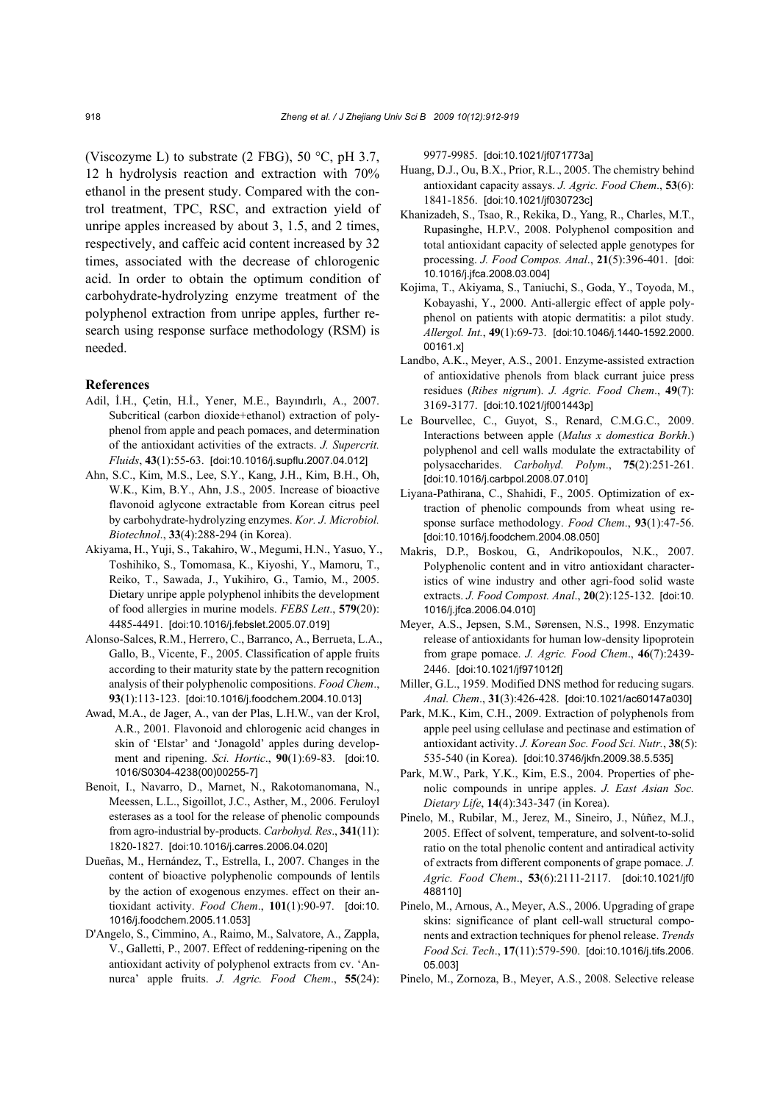(Viscozyme L) to substrate (2 FBG), 50  $^{\circ}$ C, pH 3.7, 12 h hydrolysis reaction and extraction with 70% ethanol in the present study. Compared with the control treatment, TPC, RSC, and extraction yield of unripe apples increased by about 3, 1.5, and 2 times, respectively, and caffeic acid content increased by 32 times, associated with the decrease of chlorogenic acid. In order to obtain the optimum condition of carbohydrate-hydrolyzing enzyme treatment of the polyphenol extraction from unripe apples, further research using response surface methodology (RSM) is needed.

### **References**

- Adil, İ.H., Çetin, H.İ., Yener, M.E., Bayındırlı, A., 2007. Subcritical (carbon dioxide+ethanol) extraction of polyphenol from apple and peach pomaces, and determination of the antioxidant activities of the extracts. *J. Supercrit. Fluids*, **43**(1):55-63. [doi:10.1016/j.supflu.2007.04.012]
- Ahn, S.C., Kim, M.S., Lee, S.Y., Kang, J.H., Kim, B.H., Oh, W.K., Kim, B.Y., Ahn, J.S., 2005. Increase of bioactive flavonoid aglycone extractable from Korean citrus peel by carbohydrate-hydrolyzing enzymes. *Kor. J. Microbiol. Biotechnol*., **33**(4):288-294 (in Korea).
- Akiyama, H., Yuji, S., Takahiro, W., Megumi, H.N., Yasuo, Y., Toshihiko, S., Tomomasa, K., Kiyoshi, Y., Mamoru, T., Reiko, T., Sawada, J., Yukihiro, G., Tamio, M., 2005. Dietary unripe apple polyphenol inhibits the development of food allergies in murine models. *FEBS Lett*., **579**(20): 4485-4491. [doi:10.1016/j.febslet.2005.07.019]
- Alonso-Salces, R.M., Herrero, C., Barranco, A., Berrueta, L.A., Gallo, B., Vicente, F., 2005. Classification of apple fruits according to their maturity state by the pattern recognition analysis of their polyphenolic compositions. *Food Chem*., **93**(1):113-123. [doi:10.1016/j.foodchem.2004.10.013]
- Awad, M.A., de Jager, A., van der Plas, L.H.W., van der Krol, A.R., 2001. Flavonoid and chlorogenic acid changes in skin of 'Elstar' and 'Jonagold' apples during development and ripening. *Sci. Hortic*., **90**(1):69-83. [doi:10. 1016/S0304-4238(00)00255-7]
- Benoit, I., Navarro, D., Marnet, N., Rakotomanomana, N., Meessen, L.L., Sigoillot, J.C., Asther, M., 2006. Feruloyl esterases as a tool for the release of phenolic compounds from agro-industrial by-products. *Carbohyd. Res*., **341**(11): 1820-1827. [doi:10.1016/j.carres.2006.04.020]
- Dueñas, M., Hernández, T., Estrella, I., 2007. Changes in the content of bioactive polyphenolic compounds of lentils by the action of exogenous enzymes. effect on their antioxidant activity. *Food Chem*., **101**(1):90-97. [doi:10. 1016/j.foodchem.2005.11.053]
- D'Angelo, S., Cimmino, A., Raimo, M., Salvatore, A., Zappla, V., Galletti, P., 2007. Effect of reddening-ripening on the antioxidant activity of polyphenol extracts from cv. 'Annurca' apple fruits. *J. Agric. Food Chem*., **55**(24):

9977-9985. [doi:10.1021/jf071773a]

- Huang, D.J., Ou, B.X., Prior, R.L., 2005. The chemistry behind antioxidant capacity assays. *J. Agric. Food Chem*., **53**(6): 1841-1856. [doi:10.1021/jf030723c]
- Khanizadeh, S., Tsao, R., Rekika, D., Yang, R., Charles, M.T., Rupasinghe, H.P.V., 2008. Polyphenol composition and total antioxidant capacity of selected apple genotypes for processing. *J. Food Compos. Anal*., **21**(5):396-401. [doi: 10.1016/j.jfca.2008.03.004]
- Kojima, T., Akiyama, S., Taniuchi, S., Goda, Y., Toyoda, M., Kobayashi, Y., 2000. Anti-allergic effect of apple polyphenol on patients with atopic dermatitis: a pilot study. *Allergol. Int.*, **49**(1):69-73. [doi:10.1046/j.1440-1592.2000. 00161.x]
- Landbo, A.K., Meyer, A.S., 2001. Enzyme-assisted extraction of antioxidative phenols from black currant juice press residues (*Ribes nigrum*). *J. Agric. Food Chem*., **49**(7): 3169-3177.[doi:10.1021/jf001443p]
- Le Bourvellec, C., Guyot, S., Renard, C.M.G.C., 2009. Interactions between apple (*Malus x domestica Borkh*.) polyphenol and cell walls modulate the extractability of polysaccharides. *Carbohyd. Polym*., **75**(2):251-261. [doi:10.1016/j.carbpol.2008.07.010]
- Liyana-Pathirana, C., Shahidi, F., 2005. Optimization of extraction of phenolic compounds from wheat using response surface methodology. *Food Chem*., **93**(1):47-56. [doi:10.1016/j.foodchem.2004.08.050]
- Makris, D.P., Boskou, G., Andrikopoulos, N.K., 2007. Polyphenolic content and in vitro antioxidant characteristics of wine industry and other agri-food solid waste extracts. *J. Food Compost. Anal*., **20**(2):125-132. [doi:10. 1016/j.jfca.2006.04.010]
- Meyer, A.S., Jepsen, S.M., Sørensen, N.S., 1998. Enzymatic release of antioxidants for human low-density lipoprotein from grape pomace. *J. Agric. Food Chem*., **46**(7):2439- 2446. [doi:10.1021/jf971012f]
- Miller, G.L., 1959. Modified DNS method for reducing sugars. *Anal. Chem*., **31**(3):426-428. [doi:10.1021/ac60147a030]
- Park, M.K., Kim, C.H., 2009. Extraction of polyphenols from apple peel using cellulase and pectinase and estimation of antioxidant activity. *J. Korean Soc. Food Sci. Nutr.*, **38**(5): 535-540 (in Korea). [doi:10.3746/jkfn.2009.38.5.535]
- Park, M.W., Park, Y.K., Kim, E.S., 2004. Properties of phenolic compounds in unripe apples. *J. East Asian Soc. Dietary Life*, **14**(4):343-347 (in Korea).
- Pinelo, M., Rubilar, M., Jerez, M., Sineiro, J., Núñez, M.J., 2005. Effect of solvent, temperature, and solvent-to-solid ratio on the total phenolic content and antiradical activity of extracts from different components of grape pomace. *J. Agric. Food Chem*., **53**(6):2111-2117. [doi:10.1021/jf0 488110]
- Pinelo, M., Arnous, A., Meyer, A.S., 2006. Upgrading of grape skins: significance of plant cell-wall structural components and extraction techniques for phenol release. *Trends Food Sci. Tech*., **17**(11):579-590. [doi:10.1016/j.tifs.2006. 05.003]
- Pinelo, M., Zornoza, B., Meyer, A.S., 2008. Selective release